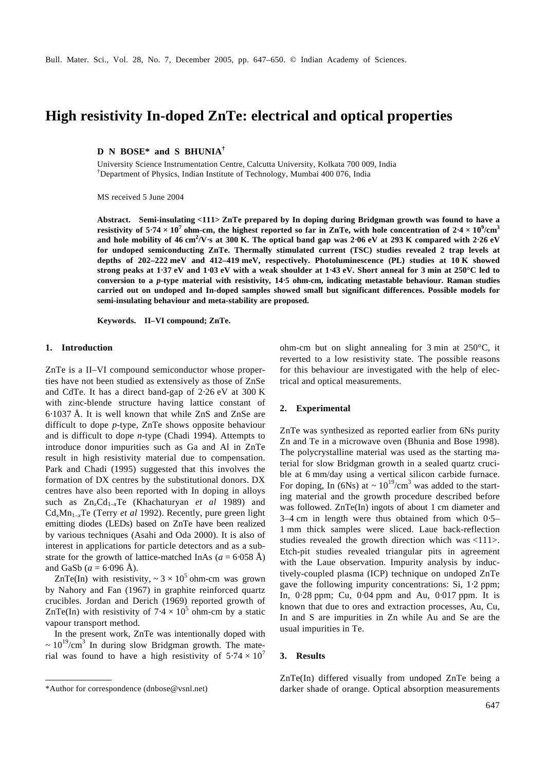# **High resistivity In-doped ZnTe: electrical and optical properties**

**D N BOSE\* and S BHUNIA†**

University Science Instrumentation Centre, Calcutta University, Kolkata 700 009, India †Department of Physics, Indian Institute of Technology, Mumbai 400 076, India

MS received 5 June 2004

**Abstract. Semi-insulating <111> ZnTe prepared by In doping during Bridgman growth was found to have a resistivity of 5**⋅**74**  $\times$   $10^7$  ohm-cm, the highest reported so far in ZnTe, with hole concentration of 2⋅4  $\times$   $10^9$ /cm $^3$ **and hole mobility of 46 cm<sup>2</sup> /V**⋅**s at 300 K. The optical band gap was 2**⋅**06 eV at 293 K compared with 2**⋅**26 eV for undoped semiconducting ZnTe. Thermally stimulated current (TSC) studies revealed 2 trap levels at depths of 202–222 meV and 412–419 meV, respectively. Photoluminescence (PL) studies at 10 K showed strong peaks at 1**⋅**37 eV and 1**⋅**03 eV with a weak shoulder at 1**⋅**43 eV. Short anneal for 3 min at 250°C led to conversion to a** *p***-type material with resistivity, 14**⋅**5 ohm-cm, indicating metastable behaviour. Raman studies carried out on undoped and In-doped samples showed small but significant differences. Possible models for semi-insulating behaviour and meta-stability are proposed.**

**Keywords. II–VI compound; ZnTe.**

## **1. Introduction**

ZnTe is a II–VI compound semiconductor whose properties have not been studied as extensively as those of ZnSe and CdTe. It has a direct band-gap of 2⋅26 eV at 300 K with zinc-blende structure having lattice constant of 6⋅1037 Å. It is well known that while ZnS and ZnSe are difficult to dope *p*-type, ZnTe shows opposite behaviour and is difficult to dope *n*-type (Chadi 1994). Attempts to introduce donor impurities such as Ga and Al in ZnTe result in high resistivity material due to compensation. Park and Chadi (1995) suggested that this involves the formation of DX centres by the substitutional donors. DX centres have also been reported with In doping in alloys such as  $Zn_xCd_{1-x}Te$  (Khachaturyan *et al* 1989) and  $Cd_xMn_{1-x}Te$  (Terry *et al* 1992). Recently, pure green light emitting diodes (LEDs) based on ZnTe have been realized by various techniques (Asahi and Oda 2000). It is also of interest in applications for particle detectors and as a substrate for the growth of lattice-matched InAs  $(a = 6.058 \text{ Å})$ and GaSb ( $a = 6.096$  Å).

ZnTe(In) with resistivity,  $\sim 3 \times 10^5$  ohm-cm was grown by Nahory and Fan (1967) in graphite reinforced quartz crucibles. Jordan and Derich (1969) reported growth of ZnTe(In) with resistivity of  $7.4 \times 10^5$  ohm-cm by a static vapour transport method.

In the present work, ZnTe was intentionally doped with  $\sim 10^{19}$ /cm<sup>3</sup> In during slow Bridgman growth. The material was found to have a high resistivity of  $5.74 \times 10^7$  ohm-cm but on slight annealing for 3 min at 250°C, it reverted to a low resistivity state. The possible reasons for this behaviour are investigated with the help of electrical and optical measurements.

## **2. Experimental**

ZnTe was synthesized as reported earlier from 6Ns purity Zn and Te in a microwave oven (Bhunia and Bose 1998). The polycrystalline material was used as the starting material for slow Bridgman growth in a sealed quartz crucible at 6 mm/day using a vertical silicon carbide furnace. For doping, In (6Ns) at  $\sim 10^{19} / \text{cm}^3$  was added to the starting material and the growth procedure described before was followed. ZnTe(In) ingots of about 1 cm diameter and 3–4 cm in length were thus obtained from which 0⋅5– 1 mm thick samples were sliced. Laue back-reflection studies revealed the growth direction which was <111>. Etch-pit studies revealed triangular pits in agreement with the Laue observation. Impurity analysis by inductively-coupled plasma (ICP) technique on undoped ZnTe gave the following impurity concentrations: Si, 1⋅2 ppm; In, 0⋅28 ppm; Cu, 0⋅04 ppm and Au, 0⋅017 ppm. It is known that due to ores and extraction processes, Au, Cu, In and S are impurities in Zn while Au and Se are the usual impurities in Te.

## **3. Results**

ZnTe(In) differed visually from undoped ZnTe being a \*Author for correspondence (dnbose@vsnl.net) darker shade of orange. Optical absorption measurements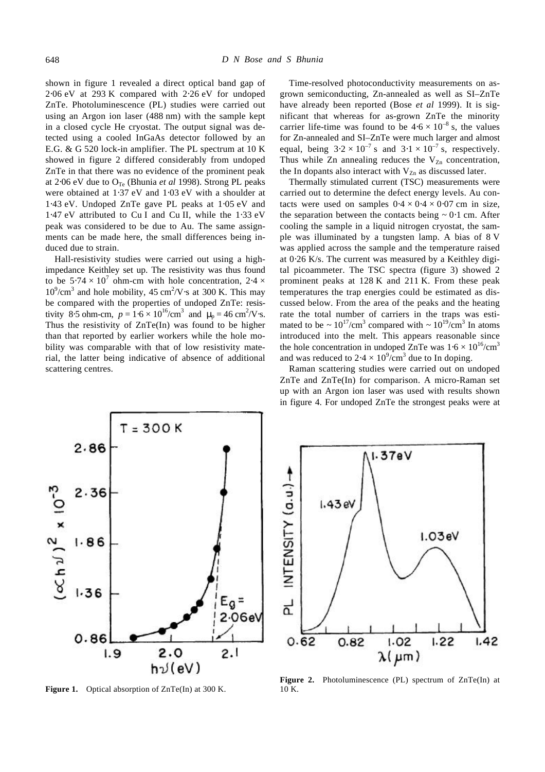shown in figure 1 revealed a direct optical band gap of 2⋅06 eV at 293 K compared with 2⋅26 eV for undoped ZnTe. Photoluminescence (PL) studies were carried out using an Argon ion laser (488 nm) with the sample kept in a closed cycle He cryostat. The output signal was detected using a cooled InGaAs detector followed by an E.G. & G 520 lock-in amplifier. The PL spectrum at 10 K showed in figure 2 differed considerably from undoped ZnTe in that there was no evidence of the prominent peak at 2⋅06 eV due to  $O<sub>Te</sub>$  (Bhunia *et al* 1998). Strong PL peaks were obtained at 1⋅37 eV and 1⋅03 eV with a shoulder at 1⋅43 eV. Undoped ZnTe gave PL peaks at 1⋅05 eV and 1⋅47 eV attributed to Cu I and Cu II, while the 1⋅33 eV peak was considered to be due to Au. The same assignments can be made here, the small differences being induced due to strain.

Hall-resistivity studies were carried out using a highimpedance Keithley set up. The resistivity was thus found to be  $5.74 \times 10^7$  ohm-cm with hole concentration,  $2.4 \times$  $10^9$ /cm<sup>3</sup> and hole mobility, 45 cm<sup>2</sup>/V⋅s at 300 K. This may be compared with the properties of undoped ZnTe: resistivity 8.5 ohm-cm,  $p = 1.6 \times 10^{16} / \text{cm}^3$  and  $\mu_p = 46 \text{ cm}^2 / \text{V} \cdot \text{s}$ . Thus the resistivity of ZnTe(In) was found to be higher than that reported by earlier workers while the hole mobility was comparable with that of low resistivity material, the latter being indicative of absence of additional scattering centres.

Time-resolved photoconductivity measurements on asgrown semiconducting, Zn-annealed as well as SI–ZnTe have already been reported (Bose *et al* 1999). It is significant that whereas for as-grown ZnTe the minority carrier life-time was found to be  $4.6 \times 10^{-8}$  s, the values for Zn-annealed and SI–ZnTe were much larger and almost equal, being  $3.2 \times 10^{-7}$  s and  $3.1 \times 10^{-7}$  s, respectively. Thus while Zn annealing reduces the  $V_{Zn}$  concentration, the In dopants also interact with  $V_{Zn}$  as discussed later.

Thermally stimulated current (TSC) measurements were carried out to determine the defect energy levels. Au contacts were used on samples  $0.4 \times 0.4 \times 0.07$  cm in size, the separation between the contacts being *~* 0⋅1 cm. After cooling the sample in a liquid nitrogen cryostat, the sample was illuminated by a tungsten lamp. A bias of 8 V was applied across the sample and the temperature raised at 0⋅26 K/s. The current was measured by a Keithley digital picoammeter. The TSC spectra (figure 3) showed 2 prominent peaks at 128 K and 211 K. From these peak temperatures the trap energies could be estimated as discussed below. From the area of the peaks and the heating rate the total number of carriers in the traps was estimated to be  $\sim 10^{17} / \text{cm}^3$  compared with  $\sim 10^{19} / \text{cm}^3$  In atoms introduced into the melt. This appears reasonable since the hole concentration in undoped ZnTe was  $1.6 \times 10^{16}$ /cm<sup>3</sup> and was reduced to 2⋅4  $\times$  10<sup>9</sup>/cm<sup>3</sup> due to In doping.

Raman scattering studies were carried out on undoped ZnTe and ZnTe(In) for comparison. A micro-Raman set up with an Argon ion laser was used with results shown in figure 4. For undoped ZnTe the strongest peaks were at



**Figure 1.** Optical absorption of ZnTe(In) at 300 K.



**Figure 2.** Photoluminescence (PL) spectrum of ZnTe(In) at 10 K.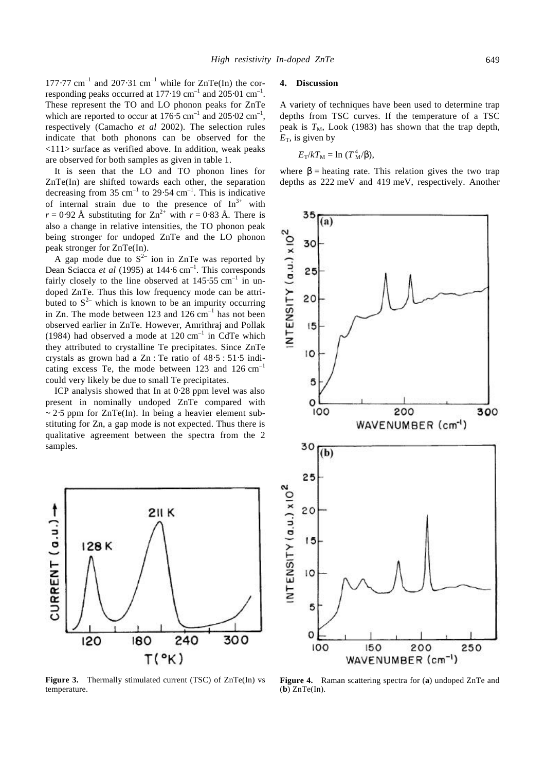177⋅77 cm<sup>-1</sup> and 207⋅31 cm<sup>-1</sup> while for ZnTe(In) the corresponding peaks occurred at 177⋅19 cm<sup>-1</sup> and 205⋅01 cm<sup>-1</sup>. These represent the TO and LO phonon peaks for ZnTe which are reported to occur at  $176.5 \text{ cm}^{-1}$  and  $205.02 \text{ cm}^{-1}$ , respectively (Camacho *et al* 2002). The selection rules indicate that both phonons can be observed for the <111> surface as verified above. In addition, weak peaks are observed for both samples as given in table 1.

It is seen that the LO and TO phonon lines for ZnTe(In) are shifted towards each other, the separation decreasing from 35 cm<sup>-1</sup> to 29⋅54 cm<sup>-1</sup>. This is indicative of internal strain due to the presence of  $In<sup>3+</sup>$  with  $r = 0.92$  Å substituting for Zn<sup>2+</sup> with  $r = 0.83$  Å. There is also a change in relative intensities, the TO phonon peak being stronger for undoped ZnTe and the LO phonon peak stronger for ZnTe(In).

A gap mode due to  $S^{2-}$  ion in ZnTe was reported by Dean Sciacca *et al* (1995) at 144⋅6 cm<sup>-1</sup>. This corresponds fairly closely to the line observed at  $145.55$  cm<sup>-1</sup> in undoped ZnTe. Thus this low frequency mode can be attributed to  $S^{2-}$  which is known to be an impurity occurring in Zn. The mode between 123 and  $126 \text{ cm}^{-1}$  has not been observed earlier in ZnTe. However, Amrithraj and Pollak (1984) had observed a mode at  $120 \text{ cm}^{-1}$  in CdTe which they attributed to crystalline Te precipitates. Since ZnTe crystals as grown had a Zn : Te ratio of 48⋅5 : 51⋅5 indicating excess Te, the mode between  $123$  and  $126 \text{ cm}^{-1}$ could very likely be due to small Te precipitates.

ICP analysis showed that In at 0⋅28 ppm level was also present in nominally undoped ZnTe compared with *~* 2⋅5 ppm for ZnTe(In). In being a heavier element substituting for Zn, a gap mode is not expected. Thus there is qualitative agreement between the spectra from the 2 samples.



**Figure 3.** Thermally stimulated current (TSC) of ZnTe(In) vs temperature.

## **4. Discussion**

A variety of techniques have been used to determine trap depths from TSC curves. If the temperature of a TSC peak is  $T_M$ , Look (1983) has shown that the trap depth,  $E<sub>T</sub>$ , is given by

$$
E_{\rm T}/kT_{\rm M}=\ln(T_{\rm M}^4/b),
$$

where  $\mathbf{b}$  = heating rate. This relation gives the two trap depths as 222 meV and 419 meV, respectively. Another



**Figure 4.** Raman scattering spectra for (**a**) undoped ZnTe and (**b**) ZnTe(In).